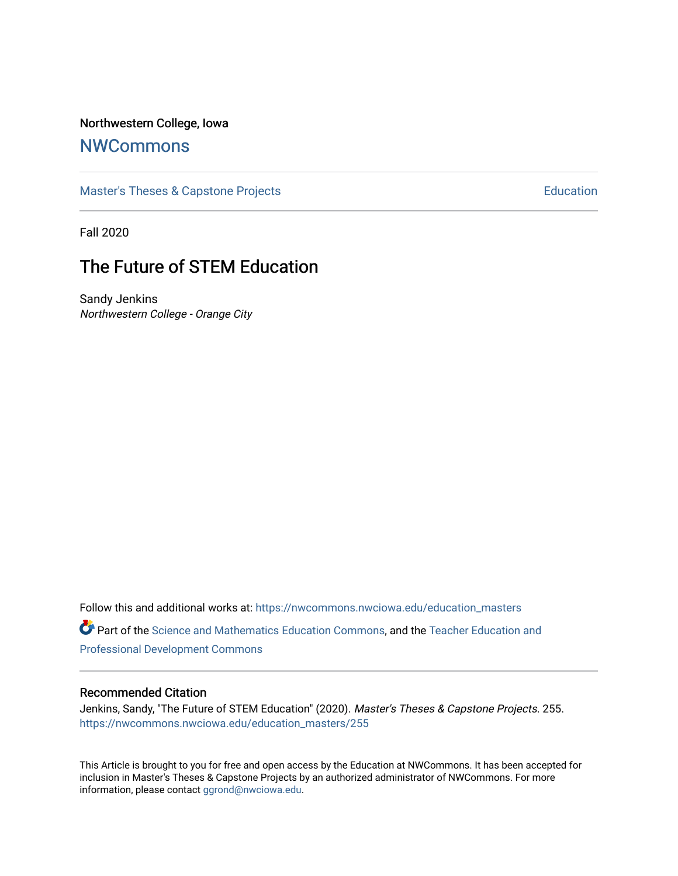# Northwestern College, Iowa

# **[NWCommons](https://nwcommons.nwciowa.edu/)**

[Master's Theses & Capstone Projects](https://nwcommons.nwciowa.edu/education_masters) **Education** Education

Fall 2020

# The Future of STEM Education

Sandy Jenkins Northwestern College - Orange City

Follow this and additional works at: [https://nwcommons.nwciowa.edu/education\\_masters](https://nwcommons.nwciowa.edu/education_masters?utm_source=nwcommons.nwciowa.edu%2Feducation_masters%2F255&utm_medium=PDF&utm_campaign=PDFCoverPages)

Part of the [Science and Mathematics Education Commons,](http://network.bepress.com/hgg/discipline/800?utm_source=nwcommons.nwciowa.edu%2Feducation_masters%2F255&utm_medium=PDF&utm_campaign=PDFCoverPages) and the [Teacher Education and](http://network.bepress.com/hgg/discipline/803?utm_source=nwcommons.nwciowa.edu%2Feducation_masters%2F255&utm_medium=PDF&utm_campaign=PDFCoverPages) [Professional Development Commons](http://network.bepress.com/hgg/discipline/803?utm_source=nwcommons.nwciowa.edu%2Feducation_masters%2F255&utm_medium=PDF&utm_campaign=PDFCoverPages)

#### Recommended Citation

Jenkins, Sandy, "The Future of STEM Education" (2020). Master's Theses & Capstone Projects. 255. [https://nwcommons.nwciowa.edu/education\\_masters/255](https://nwcommons.nwciowa.edu/education_masters/255?utm_source=nwcommons.nwciowa.edu%2Feducation_masters%2F255&utm_medium=PDF&utm_campaign=PDFCoverPages)

This Article is brought to you for free and open access by the Education at NWCommons. It has been accepted for inclusion in Master's Theses & Capstone Projects by an authorized administrator of NWCommons. For more information, please contact [ggrond@nwciowa.edu](mailto:ggrond@nwciowa.edu).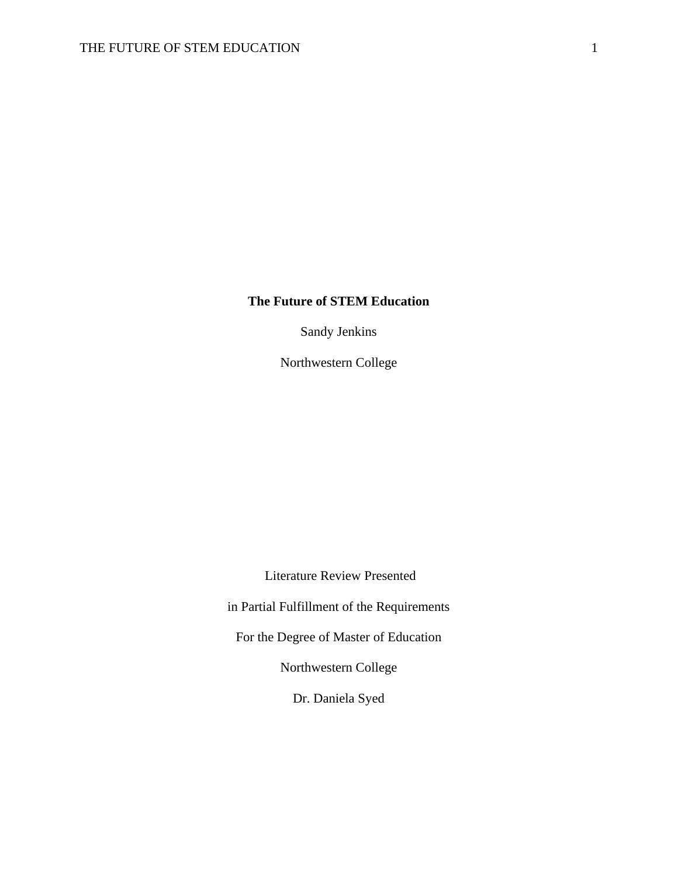# **The Future of STEM Education**

Sandy Jenkins

Northwestern College

Literature Review Presented

in Partial Fulfillment of the Requirements

For the Degree of Master of Education

Northwestern College

Dr. Daniela Syed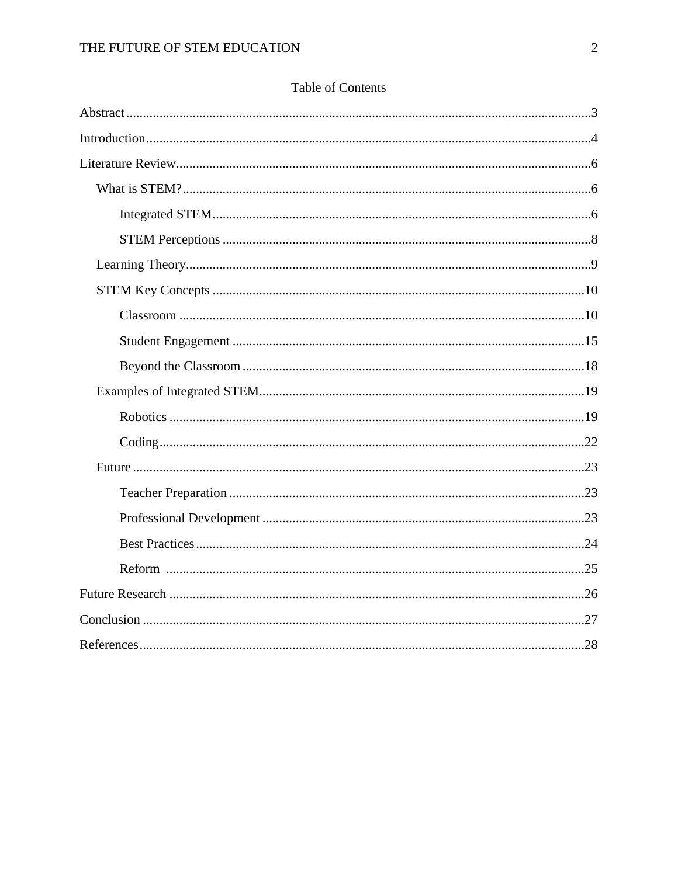# Table of Contents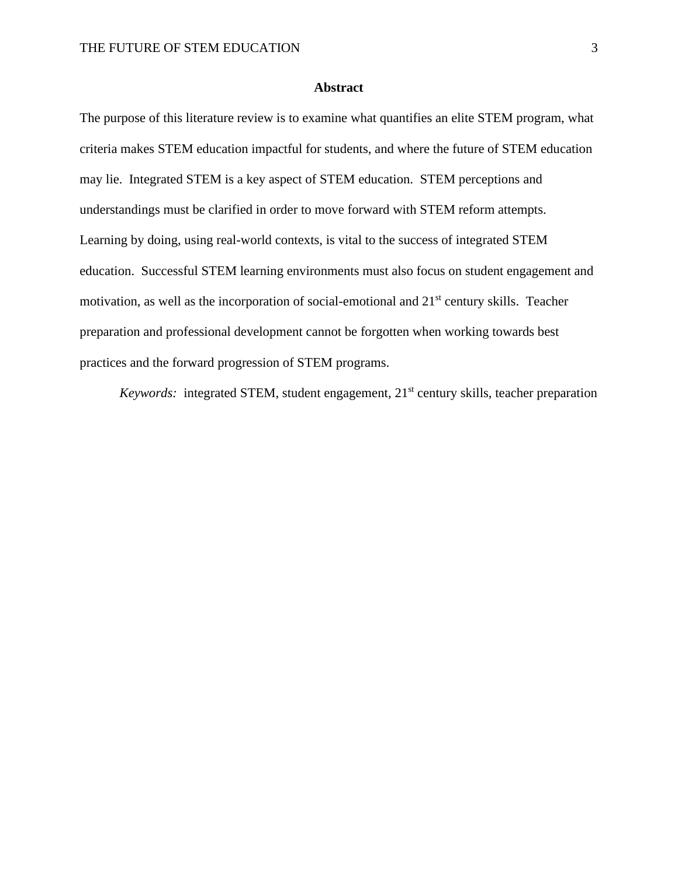# **Abstract**

The purpose of this literature review is to examine what quantifies an elite STEM program, what criteria makes STEM education impactful for students, and where the future of STEM education may lie. Integrated STEM is a key aspect of STEM education. STEM perceptions and understandings must be clarified in order to move forward with STEM reform attempts. Learning by doing, using real-world contexts, is vital to the success of integrated STEM education. Successful STEM learning environments must also focus on student engagement and motivation, as well as the incorporation of social-emotional and 21st century skills. Teacher preparation and professional development cannot be forgotten when working towards best practices and the forward progression of STEM programs.

*Keywords:* integrated STEM, student engagement, 21<sup>st</sup> century skills, teacher preparation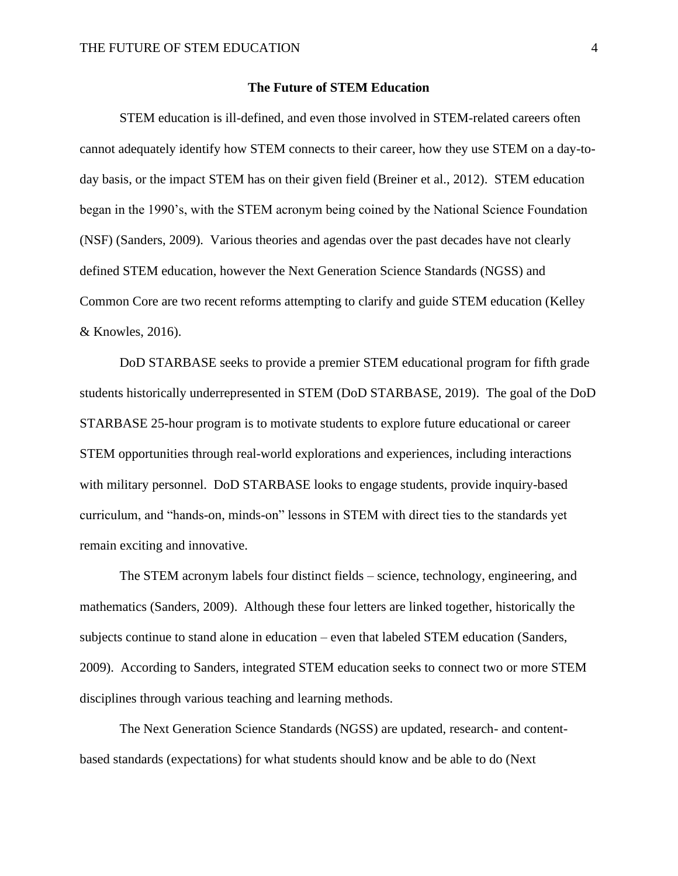#### **The Future of STEM Education**

STEM education is ill-defined, and even those involved in STEM-related careers often cannot adequately identify how STEM connects to their career, how they use STEM on a day-today basis, or the impact STEM has on their given field (Breiner et al., 2012). STEM education began in the 1990's, with the STEM acronym being coined by the National Science Foundation (NSF) (Sanders, 2009). Various theories and agendas over the past decades have not clearly defined STEM education, however the Next Generation Science Standards (NGSS) and Common Core are two recent reforms attempting to clarify and guide STEM education (Kelley & Knowles, 2016).

DoD STARBASE seeks to provide a premier STEM educational program for fifth grade students historically underrepresented in STEM (DoD STARBASE, 2019). The goal of the DoD STARBASE 25-hour program is to motivate students to explore future educational or career STEM opportunities through real-world explorations and experiences, including interactions with military personnel. DoD STARBASE looks to engage students, provide inquiry-based curriculum, and "hands-on, minds-on" lessons in STEM with direct ties to the standards yet remain exciting and innovative.

The STEM acronym labels four distinct fields – science, technology, engineering, and mathematics (Sanders, 2009). Although these four letters are linked together, historically the subjects continue to stand alone in education – even that labeled STEM education (Sanders, 2009). According to Sanders, integrated STEM education seeks to connect two or more STEM disciplines through various teaching and learning methods.

The Next Generation Science Standards (NGSS) are updated, research- and contentbased standards (expectations) for what students should know and be able to do (Next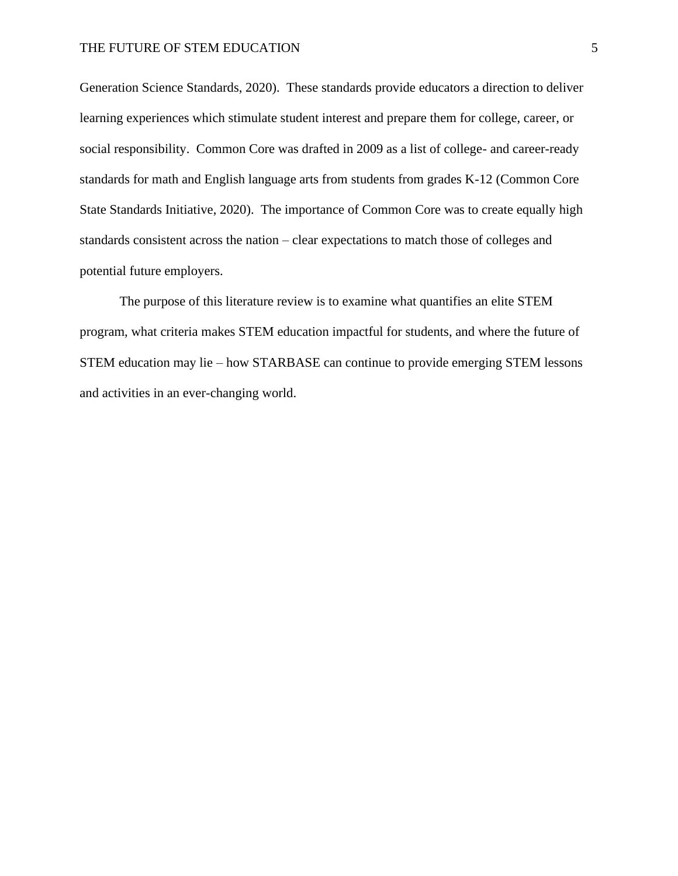Generation Science Standards, 2020). These standards provide educators a direction to deliver learning experiences which stimulate student interest and prepare them for college, career, or social responsibility. Common Core was drafted in 2009 as a list of college- and career-ready standards for math and English language arts from students from grades K-12 (Common Core State Standards Initiative, 2020). The importance of Common Core was to create equally high standards consistent across the nation – clear expectations to match those of colleges and potential future employers.

The purpose of this literature review is to examine what quantifies an elite STEM program, what criteria makes STEM education impactful for students, and where the future of STEM education may lie – how STARBASE can continue to provide emerging STEM lessons and activities in an ever-changing world.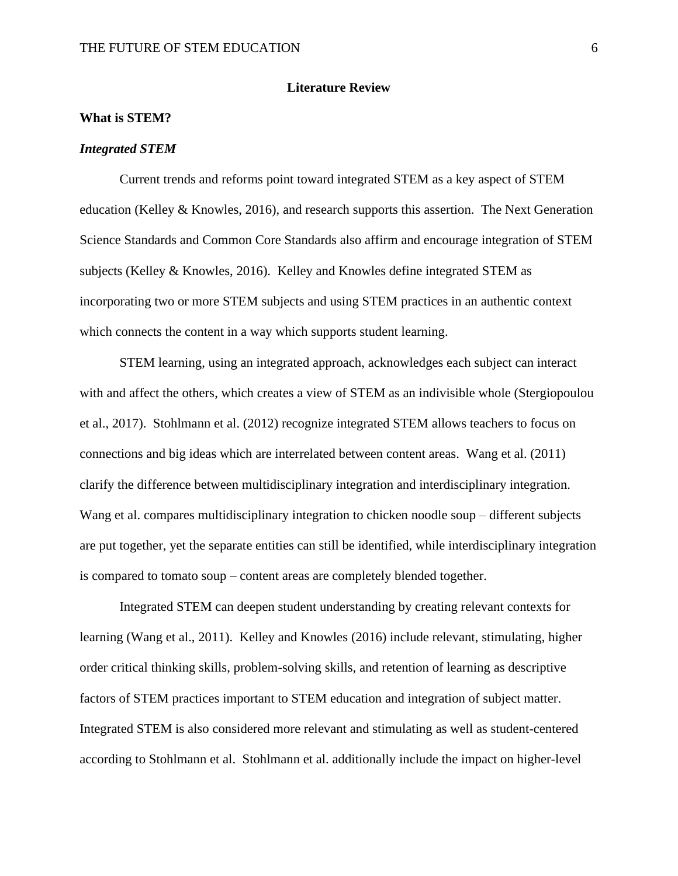#### **Literature Review**

#### **What is STEM?**

#### *Integrated STEM*

Current trends and reforms point toward integrated STEM as a key aspect of STEM education (Kelley & Knowles, 2016), and research supports this assertion. The Next Generation Science Standards and Common Core Standards also affirm and encourage integration of STEM subjects (Kelley & Knowles, 2016). Kelley and Knowles define integrated STEM as incorporating two or more STEM subjects and using STEM practices in an authentic context which connects the content in a way which supports student learning.

STEM learning, using an integrated approach, acknowledges each subject can interact with and affect the others, which creates a view of STEM as an indivisible whole (Stergiopoulou et al., 2017). Stohlmann et al. (2012) recognize integrated STEM allows teachers to focus on connections and big ideas which are interrelated between content areas. Wang et al. (2011) clarify the difference between multidisciplinary integration and interdisciplinary integration. Wang et al. compares multidisciplinary integration to chicken noodle soup – different subjects are put together, yet the separate entities can still be identified, while interdisciplinary integration is compared to tomato soup – content areas are completely blended together.

Integrated STEM can deepen student understanding by creating relevant contexts for learning (Wang et al., 2011). Kelley and Knowles (2016) include relevant, stimulating, higher order critical thinking skills, problem-solving skills, and retention of learning as descriptive factors of STEM practices important to STEM education and integration of subject matter. Integrated STEM is also considered more relevant and stimulating as well as student-centered according to Stohlmann et al. Stohlmann et al. additionally include the impact on higher-level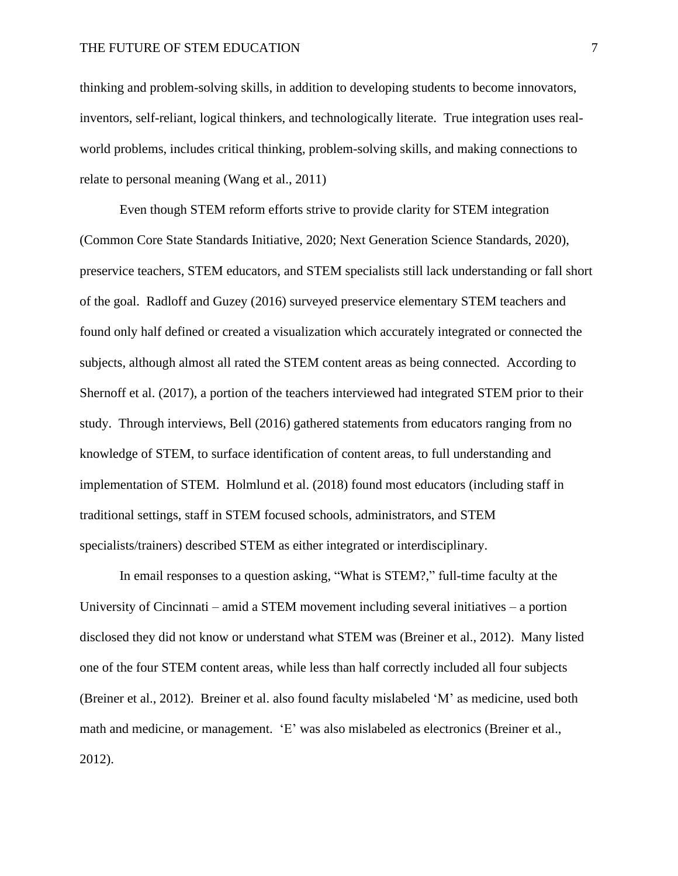#### THE FUTURE OF STEM EDUCATION  $\frac{7}{5}$

thinking and problem-solving skills, in addition to developing students to become innovators, inventors, self-reliant, logical thinkers, and technologically literate. True integration uses realworld problems, includes critical thinking, problem-solving skills, and making connections to relate to personal meaning (Wang et al., 2011)

Even though STEM reform efforts strive to provide clarity for STEM integration (Common Core State Standards Initiative, 2020; Next Generation Science Standards, 2020), preservice teachers, STEM educators, and STEM specialists still lack understanding or fall short of the goal. Radloff and Guzey (2016) surveyed preservice elementary STEM teachers and found only half defined or created a visualization which accurately integrated or connected the subjects, although almost all rated the STEM content areas as being connected. According to Shernoff et al. (2017), a portion of the teachers interviewed had integrated STEM prior to their study. Through interviews, Bell (2016) gathered statements from educators ranging from no knowledge of STEM, to surface identification of content areas, to full understanding and implementation of STEM. Holmlund et al. (2018) found most educators (including staff in traditional settings, staff in STEM focused schools, administrators, and STEM specialists/trainers) described STEM as either integrated or interdisciplinary.

In email responses to a question asking, "What is STEM?," full-time faculty at the University of Cincinnati – amid a STEM movement including several initiatives – a portion disclosed they did not know or understand what STEM was (Breiner et al., 2012). Many listed one of the four STEM content areas, while less than half correctly included all four subjects (Breiner et al., 2012). Breiner et al. also found faculty mislabeled 'M' as medicine, used both math and medicine, or management. 'E' was also mislabeled as electronics (Breiner et al., 2012).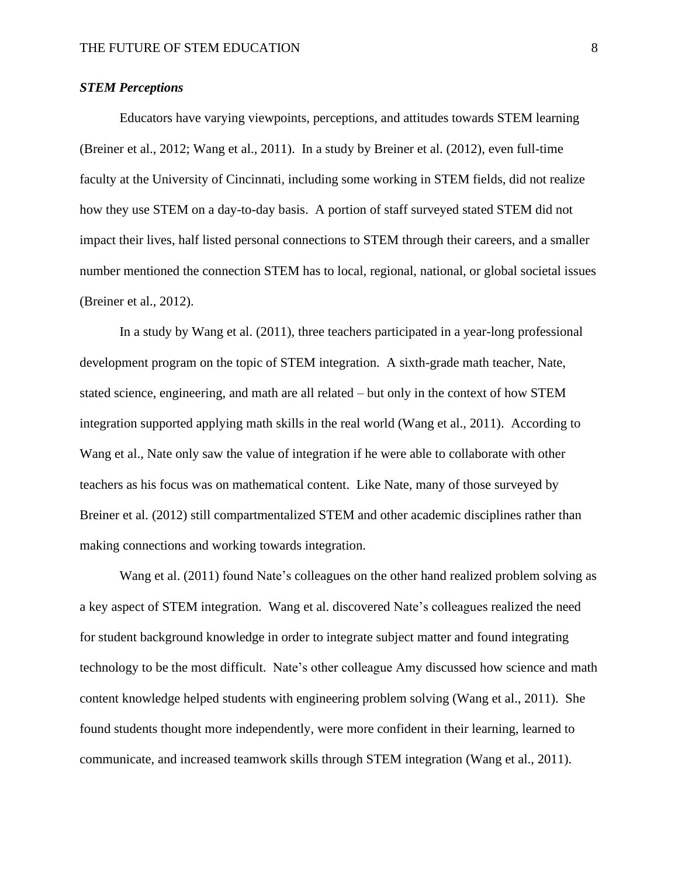## *STEM Perceptions*

Educators have varying viewpoints, perceptions, and attitudes towards STEM learning (Breiner et al., 2012; Wang et al., 2011). In a study by Breiner et al. (2012), even full-time faculty at the University of Cincinnati, including some working in STEM fields, did not realize how they use STEM on a day-to-day basis. A portion of staff surveyed stated STEM did not impact their lives, half listed personal connections to STEM through their careers, and a smaller number mentioned the connection STEM has to local, regional, national, or global societal issues (Breiner et al., 2012).

In a study by Wang et al. (2011), three teachers participated in a year-long professional development program on the topic of STEM integration. A sixth-grade math teacher, Nate, stated science, engineering, and math are all related – but only in the context of how STEM integration supported applying math skills in the real world (Wang et al., 2011). According to Wang et al., Nate only saw the value of integration if he were able to collaborate with other teachers as his focus was on mathematical content. Like Nate, many of those surveyed by Breiner et al. (2012) still compartmentalized STEM and other academic disciplines rather than making connections and working towards integration.

Wang et al. (2011) found Nate's colleagues on the other hand realized problem solving as a key aspect of STEM integration. Wang et al. discovered Nate's colleagues realized the need for student background knowledge in order to integrate subject matter and found integrating technology to be the most difficult. Nate's other colleague Amy discussed how science and math content knowledge helped students with engineering problem solving (Wang et al., 2011). She found students thought more independently, were more confident in their learning, learned to communicate, and increased teamwork skills through STEM integration (Wang et al., 2011).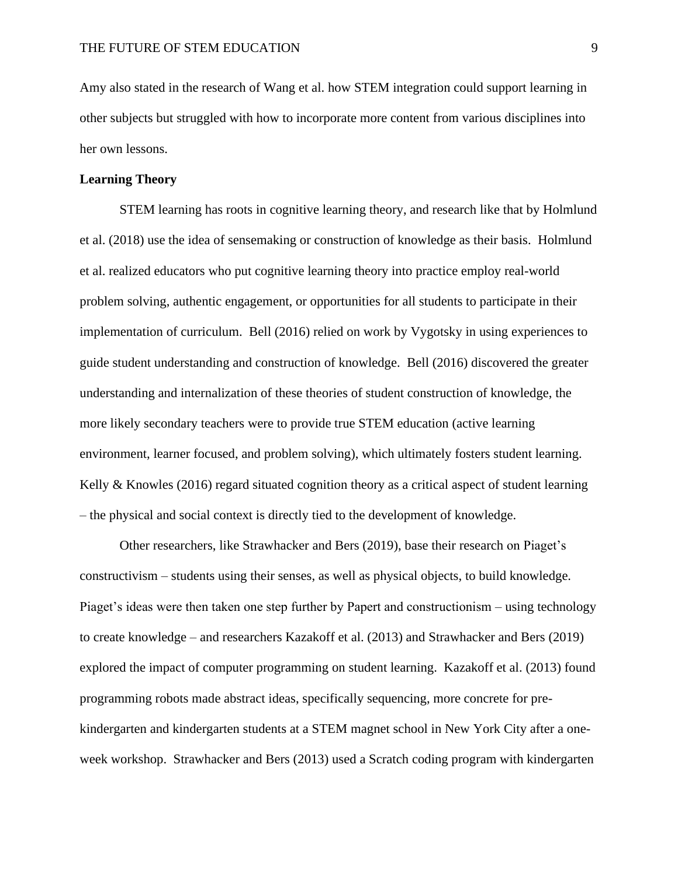Amy also stated in the research of Wang et al. how STEM integration could support learning in other subjects but struggled with how to incorporate more content from various disciplines into her own lessons.

# **Learning Theory**

STEM learning has roots in cognitive learning theory, and research like that by Holmlund et al. (2018) use the idea of sensemaking or construction of knowledge as their basis. Holmlund et al. realized educators who put cognitive learning theory into practice employ real-world problem solving, authentic engagement, or opportunities for all students to participate in their implementation of curriculum. Bell (2016) relied on work by Vygotsky in using experiences to guide student understanding and construction of knowledge. Bell (2016) discovered the greater understanding and internalization of these theories of student construction of knowledge, the more likely secondary teachers were to provide true STEM education (active learning environment, learner focused, and problem solving), which ultimately fosters student learning. Kelly  $\&$  Knowles (2016) regard situated cognition theory as a critical aspect of student learning – the physical and social context is directly tied to the development of knowledge.

Other researchers, like Strawhacker and Bers (2019), base their research on Piaget's constructivism – students using their senses, as well as physical objects, to build knowledge. Piaget's ideas were then taken one step further by Papert and constructionism – using technology to create knowledge – and researchers Kazakoff et al. (2013) and Strawhacker and Bers (2019) explored the impact of computer programming on student learning. Kazakoff et al. (2013) found programming robots made abstract ideas, specifically sequencing, more concrete for prekindergarten and kindergarten students at a STEM magnet school in New York City after a oneweek workshop. Strawhacker and Bers (2013) used a Scratch coding program with kindergarten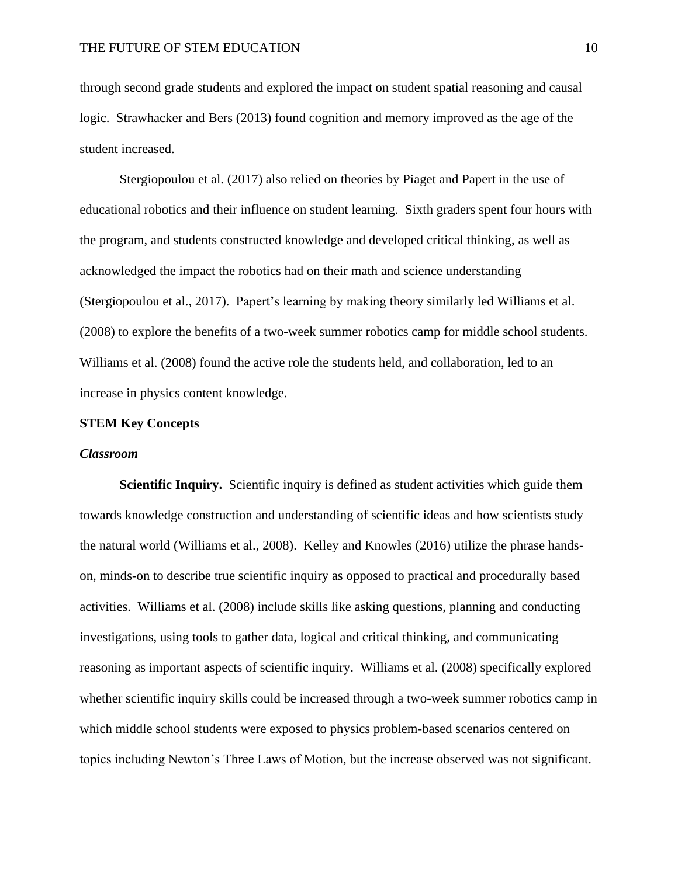through second grade students and explored the impact on student spatial reasoning and causal logic. Strawhacker and Bers (2013) found cognition and memory improved as the age of the student increased.

Stergiopoulou et al. (2017) also relied on theories by Piaget and Papert in the use of educational robotics and their influence on student learning. Sixth graders spent four hours with the program, and students constructed knowledge and developed critical thinking, as well as acknowledged the impact the robotics had on their math and science understanding (Stergiopoulou et al., 2017). Papert's learning by making theory similarly led Williams et al. (2008) to explore the benefits of a two-week summer robotics camp for middle school students. Williams et al. (2008) found the active role the students held, and collaboration, led to an increase in physics content knowledge.

#### **STEM Key Concepts**

## *Classroom*

**Scientific Inquiry.** Scientific inquiry is defined as student activities which guide them towards knowledge construction and understanding of scientific ideas and how scientists study the natural world (Williams et al., 2008). Kelley and Knowles (2016) utilize the phrase handson, minds-on to describe true scientific inquiry as opposed to practical and procedurally based activities. Williams et al. (2008) include skills like asking questions, planning and conducting investigations, using tools to gather data, logical and critical thinking, and communicating reasoning as important aspects of scientific inquiry. Williams et al. (2008) specifically explored whether scientific inquiry skills could be increased through a two-week summer robotics camp in which middle school students were exposed to physics problem-based scenarios centered on topics including Newton's Three Laws of Motion, but the increase observed was not significant.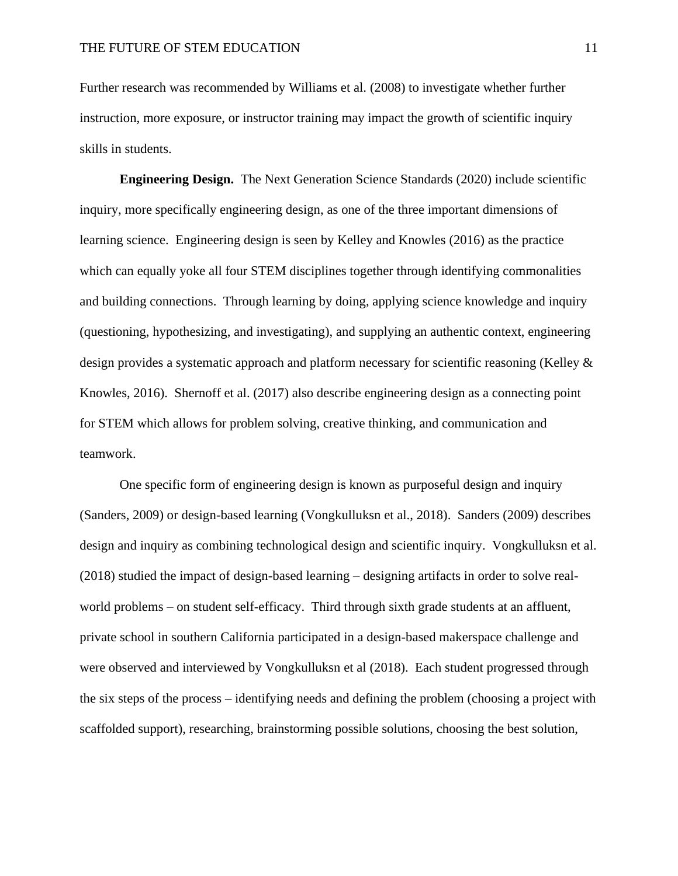Further research was recommended by Williams et al. (2008) to investigate whether further instruction, more exposure, or instructor training may impact the growth of scientific inquiry skills in students.

**Engineering Design.** The Next Generation Science Standards (2020) include scientific inquiry, more specifically engineering design, as one of the three important dimensions of learning science. Engineering design is seen by Kelley and Knowles (2016) as the practice which can equally yoke all four STEM disciplines together through identifying commonalities and building connections. Through learning by doing, applying science knowledge and inquiry (questioning, hypothesizing, and investigating), and supplying an authentic context, engineering design provides a systematic approach and platform necessary for scientific reasoning (Kelley & Knowles, 2016). Shernoff et al. (2017) also describe engineering design as a connecting point for STEM which allows for problem solving, creative thinking, and communication and teamwork.

One specific form of engineering design is known as purposeful design and inquiry (Sanders, 2009) or design-based learning (Vongkulluksn et al., 2018). Sanders (2009) describes design and inquiry as combining technological design and scientific inquiry. Vongkulluksn et al. (2018) studied the impact of design-based learning – designing artifacts in order to solve realworld problems – on student self-efficacy. Third through sixth grade students at an affluent, private school in southern California participated in a design-based makerspace challenge and were observed and interviewed by Vongkulluksn et al (2018). Each student progressed through the six steps of the process – identifying needs and defining the problem (choosing a project with scaffolded support), researching, brainstorming possible solutions, choosing the best solution,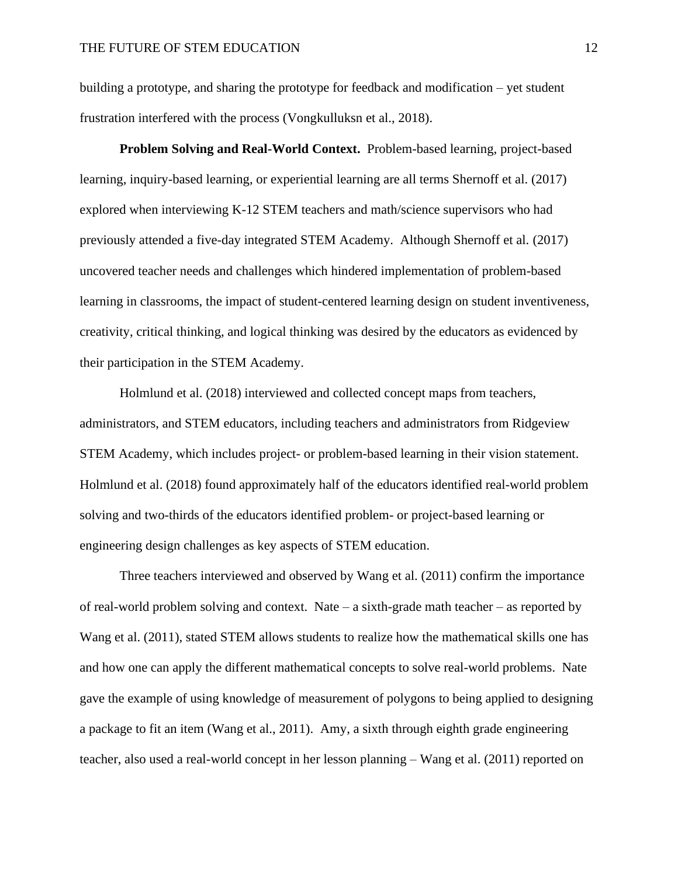building a prototype, and sharing the prototype for feedback and modification – yet student frustration interfered with the process (Vongkulluksn et al., 2018).

**Problem Solving and Real-World Context.** Problem-based learning, project-based learning, inquiry-based learning, or experiential learning are all terms Shernoff et al. (2017) explored when interviewing K-12 STEM teachers and math/science supervisors who had previously attended a five-day integrated STEM Academy. Although Shernoff et al. (2017) uncovered teacher needs and challenges which hindered implementation of problem-based learning in classrooms, the impact of student-centered learning design on student inventiveness, creativity, critical thinking, and logical thinking was desired by the educators as evidenced by their participation in the STEM Academy.

Holmlund et al. (2018) interviewed and collected concept maps from teachers, administrators, and STEM educators, including teachers and administrators from Ridgeview STEM Academy, which includes project- or problem-based learning in their vision statement. Holmlund et al. (2018) found approximately half of the educators identified real-world problem solving and two-thirds of the educators identified problem- or project-based learning or engineering design challenges as key aspects of STEM education.

Three teachers interviewed and observed by Wang et al. (2011) confirm the importance of real-world problem solving and context. Nate – a sixth-grade math teacher – as reported by Wang et al. (2011), stated STEM allows students to realize how the mathematical skills one has and how one can apply the different mathematical concepts to solve real-world problems. Nate gave the example of using knowledge of measurement of polygons to being applied to designing a package to fit an item (Wang et al., 2011). Amy, a sixth through eighth grade engineering teacher, also used a real-world concept in her lesson planning – Wang et al. (2011) reported on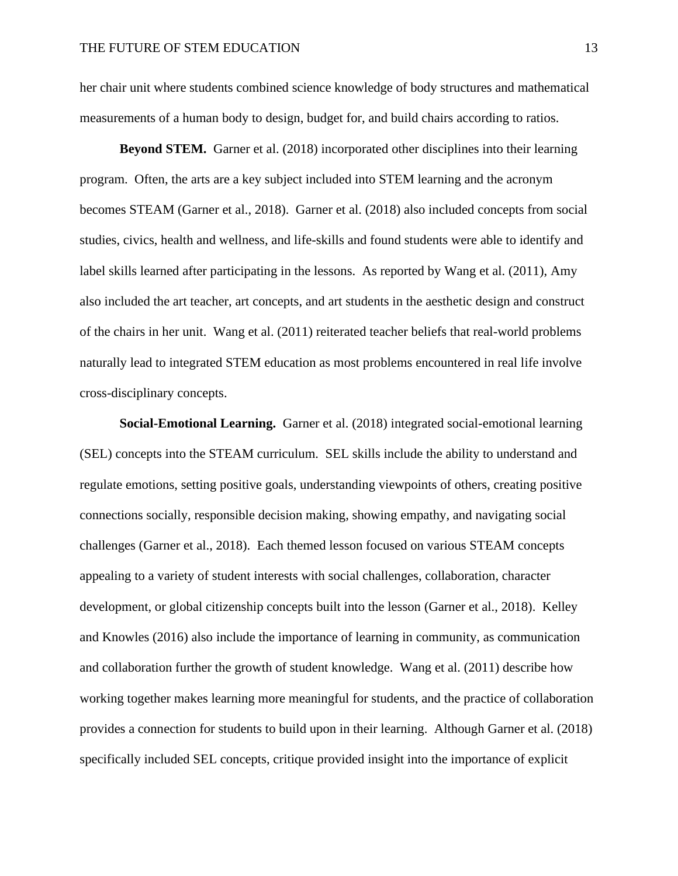her chair unit where students combined science knowledge of body structures and mathematical measurements of a human body to design, budget for, and build chairs according to ratios.

**Beyond STEM.** Garner et al. (2018) incorporated other disciplines into their learning program. Often, the arts are a key subject included into STEM learning and the acronym becomes STEAM (Garner et al., 2018). Garner et al. (2018) also included concepts from social studies, civics, health and wellness, and life-skills and found students were able to identify and label skills learned after participating in the lessons. As reported by Wang et al. (2011), Amy also included the art teacher, art concepts, and art students in the aesthetic design and construct of the chairs in her unit. Wang et al. (2011) reiterated teacher beliefs that real-world problems naturally lead to integrated STEM education as most problems encountered in real life involve cross-disciplinary concepts.

**Social-Emotional Learning.** Garner et al. (2018) integrated social-emotional learning (SEL) concepts into the STEAM curriculum. SEL skills include the ability to understand and regulate emotions, setting positive goals, understanding viewpoints of others, creating positive connections socially, responsible decision making, showing empathy, and navigating social challenges (Garner et al., 2018). Each themed lesson focused on various STEAM concepts appealing to a variety of student interests with social challenges, collaboration, character development, or global citizenship concepts built into the lesson (Garner et al., 2018). Kelley and Knowles (2016) also include the importance of learning in community, as communication and collaboration further the growth of student knowledge. Wang et al. (2011) describe how working together makes learning more meaningful for students, and the practice of collaboration provides a connection for students to build upon in their learning. Although Garner et al. (2018) specifically included SEL concepts, critique provided insight into the importance of explicit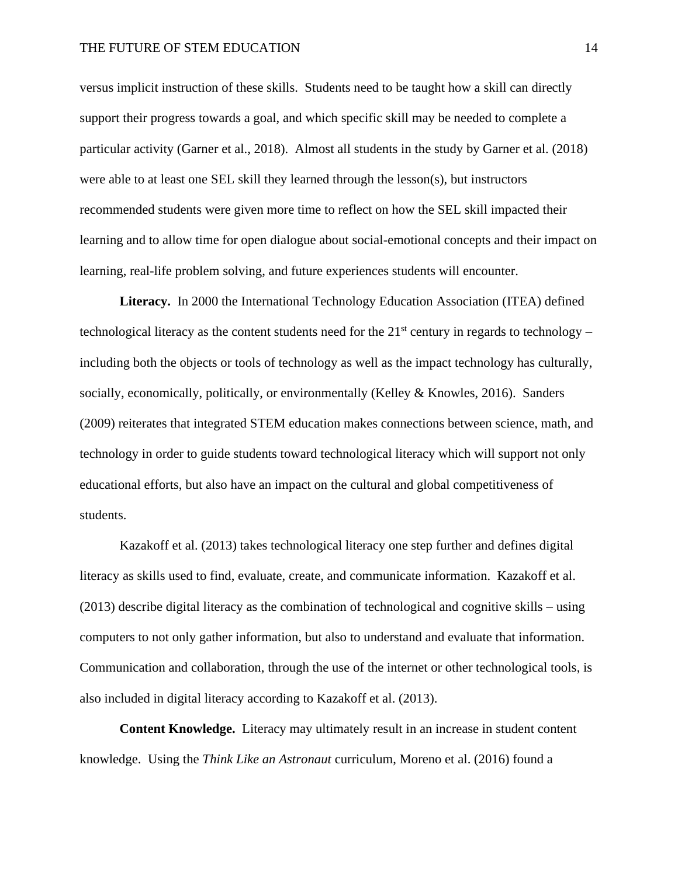versus implicit instruction of these skills. Students need to be taught how a skill can directly support their progress towards a goal, and which specific skill may be needed to complete a particular activity (Garner et al., 2018). Almost all students in the study by Garner et al. (2018) were able to at least one SEL skill they learned through the lesson(s), but instructors recommended students were given more time to reflect on how the SEL skill impacted their learning and to allow time for open dialogue about social-emotional concepts and their impact on learning, real-life problem solving, and future experiences students will encounter.

**Literacy.** In 2000 the International Technology Education Association (ITEA) defined technological literacy as the content students need for the  $21<sup>st</sup>$  century in regards to technology – including both the objects or tools of technology as well as the impact technology has culturally, socially, economically, politically, or environmentally (Kelley & Knowles, 2016). Sanders (2009) reiterates that integrated STEM education makes connections between science, math, and technology in order to guide students toward technological literacy which will support not only educational efforts, but also have an impact on the cultural and global competitiveness of students.

Kazakoff et al. (2013) takes technological literacy one step further and defines digital literacy as skills used to find, evaluate, create, and communicate information. Kazakoff et al. (2013) describe digital literacy as the combination of technological and cognitive skills – using computers to not only gather information, but also to understand and evaluate that information. Communication and collaboration, through the use of the internet or other technological tools, is also included in digital literacy according to Kazakoff et al. (2013).

**Content Knowledge.** Literacy may ultimately result in an increase in student content knowledge. Using the *Think Like an Astronaut* curriculum, Moreno et al. (2016) found a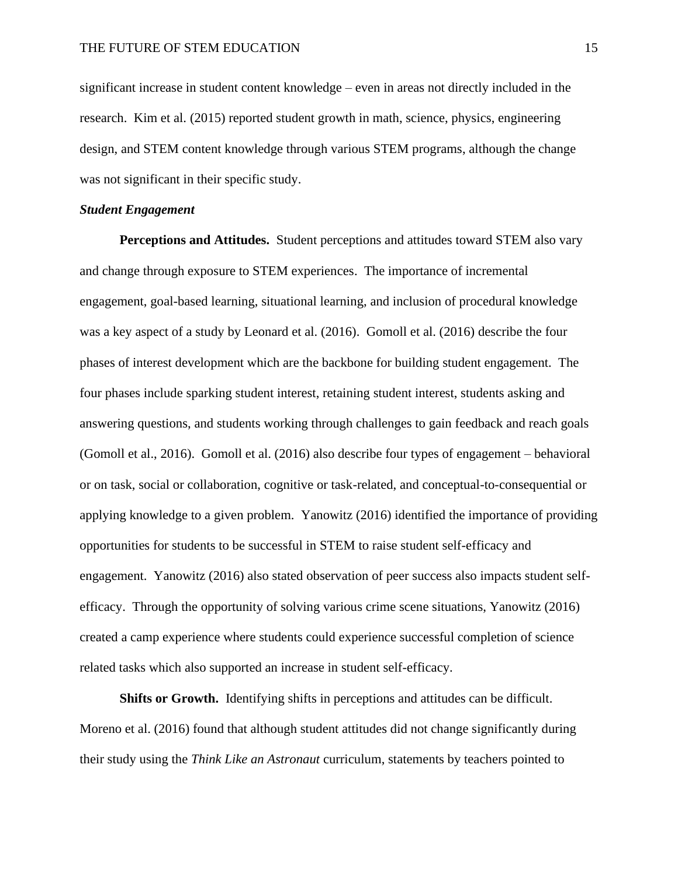significant increase in student content knowledge – even in areas not directly included in the research. Kim et al. (2015) reported student growth in math, science, physics, engineering design, and STEM content knowledge through various STEM programs, although the change was not significant in their specific study.

#### *Student Engagement*

**Perceptions and Attitudes.** Student perceptions and attitudes toward STEM also vary and change through exposure to STEM experiences. The importance of incremental engagement, goal-based learning, situational learning, and inclusion of procedural knowledge was a key aspect of a study by Leonard et al. (2016). Gomoll et al. (2016) describe the four phases of interest development which are the backbone for building student engagement. The four phases include sparking student interest, retaining student interest, students asking and answering questions, and students working through challenges to gain feedback and reach goals (Gomoll et al., 2016). Gomoll et al. (2016) also describe four types of engagement – behavioral or on task, social or collaboration, cognitive or task-related, and conceptual-to-consequential or applying knowledge to a given problem. Yanowitz (2016) identified the importance of providing opportunities for students to be successful in STEM to raise student self-efficacy and engagement. Yanowitz (2016) also stated observation of peer success also impacts student selfefficacy. Through the opportunity of solving various crime scene situations, Yanowitz (2016) created a camp experience where students could experience successful completion of science related tasks which also supported an increase in student self-efficacy.

**Shifts or Growth.** Identifying shifts in perceptions and attitudes can be difficult. Moreno et al. (2016) found that although student attitudes did not change significantly during their study using the *Think Like an Astronaut* curriculum, statements by teachers pointed to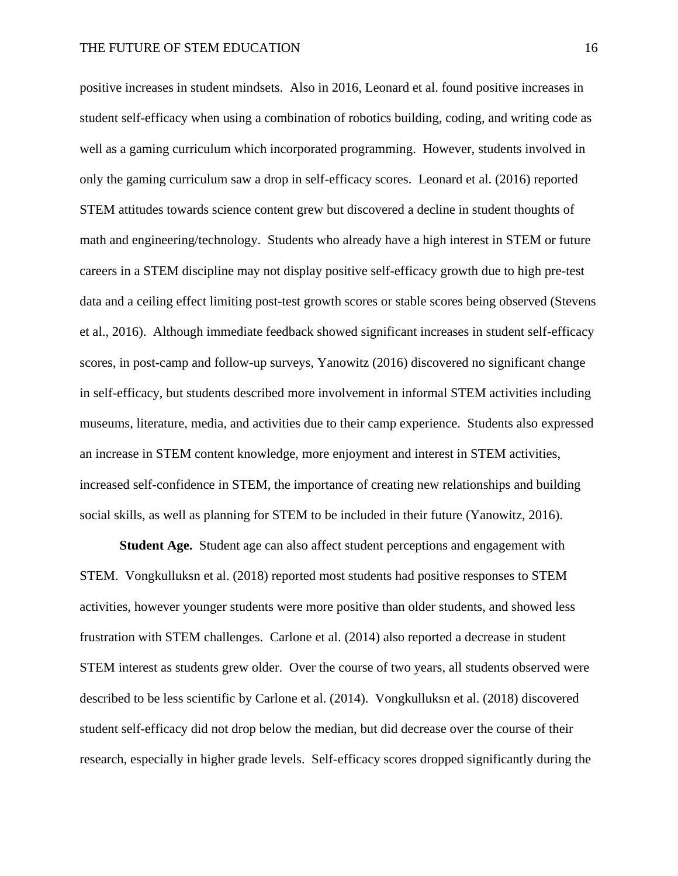positive increases in student mindsets. Also in 2016, Leonard et al. found positive increases in student self-efficacy when using a combination of robotics building, coding, and writing code as well as a gaming curriculum which incorporated programming. However, students involved in only the gaming curriculum saw a drop in self-efficacy scores. Leonard et al. (2016) reported STEM attitudes towards science content grew but discovered a decline in student thoughts of math and engineering/technology. Students who already have a high interest in STEM or future careers in a STEM discipline may not display positive self-efficacy growth due to high pre-test data and a ceiling effect limiting post-test growth scores or stable scores being observed (Stevens et al., 2016). Although immediate feedback showed significant increases in student self-efficacy scores, in post-camp and follow-up surveys, Yanowitz (2016) discovered no significant change in self-efficacy, but students described more involvement in informal STEM activities including museums, literature, media, and activities due to their camp experience. Students also expressed an increase in STEM content knowledge, more enjoyment and interest in STEM activities, increased self-confidence in STEM, the importance of creating new relationships and building social skills, as well as planning for STEM to be included in their future (Yanowitz, 2016).

**Student Age.** Student age can also affect student perceptions and engagement with STEM. Vongkulluksn et al. (2018) reported most students had positive responses to STEM activities, however younger students were more positive than older students, and showed less frustration with STEM challenges. Carlone et al. (2014) also reported a decrease in student STEM interest as students grew older. Over the course of two years, all students observed were described to be less scientific by Carlone et al. (2014). Vongkulluksn et al. (2018) discovered student self-efficacy did not drop below the median, but did decrease over the course of their research, especially in higher grade levels. Self-efficacy scores dropped significantly during the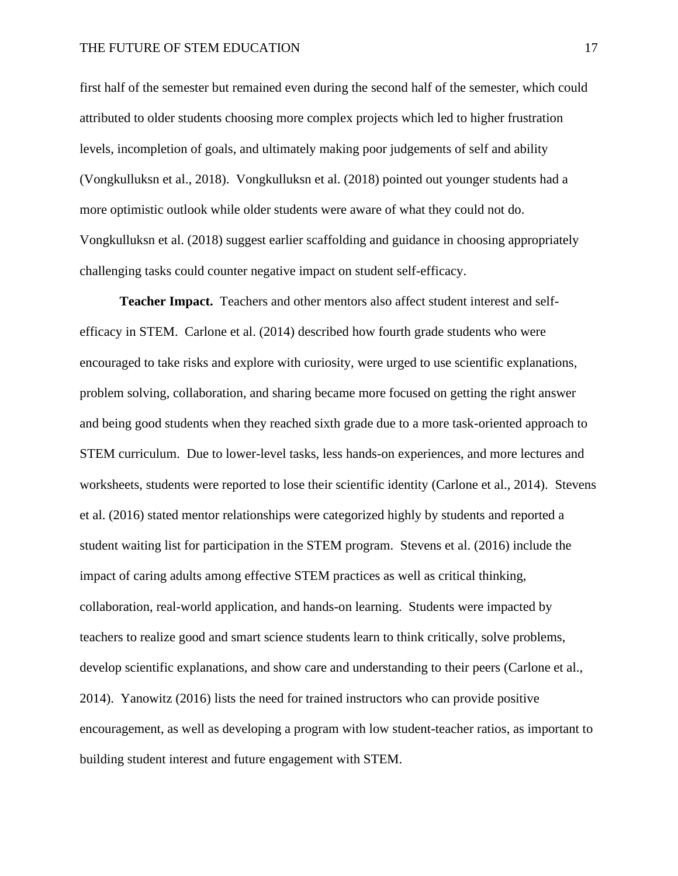first half of the semester but remained even during the second half of the semester, which could attributed to older students choosing more complex projects which led to higher frustration levels, incompletion of goals, and ultimately making poor judgements of self and ability (Vongkulluksn et al., 2018). Vongkulluksn et al. (2018) pointed out younger students had a more optimistic outlook while older students were aware of what they could not do. Vongkulluksn et al. (2018) suggest earlier scaffolding and guidance in choosing appropriately challenging tasks could counter negative impact on student self-efficacy.

**Teacher Impact.** Teachers and other mentors also affect student interest and selfefficacy in STEM. Carlone et al. (2014) described how fourth grade students who were encouraged to take risks and explore with curiosity, were urged to use scientific explanations, problem solving, collaboration, and sharing became more focused on getting the right answer and being good students when they reached sixth grade due to a more task-oriented approach to STEM curriculum. Due to lower-level tasks, less hands-on experiences, and more lectures and worksheets, students were reported to lose their scientific identity (Carlone et al., 2014). Stevens et al. (2016) stated mentor relationships were categorized highly by students and reported a student waiting list for participation in the STEM program. Stevens et al. (2016) include the impact of caring adults among effective STEM practices as well as critical thinking, collaboration, real-world application, and hands-on learning. Students were impacted by teachers to realize good and smart science students learn to think critically, solve problems, develop scientific explanations, and show care and understanding to their peers (Carlone et al., 2014). Yanowitz (2016) lists the need for trained instructors who can provide positive encouragement, as well as developing a program with low student-teacher ratios, as important to building student interest and future engagement with STEM.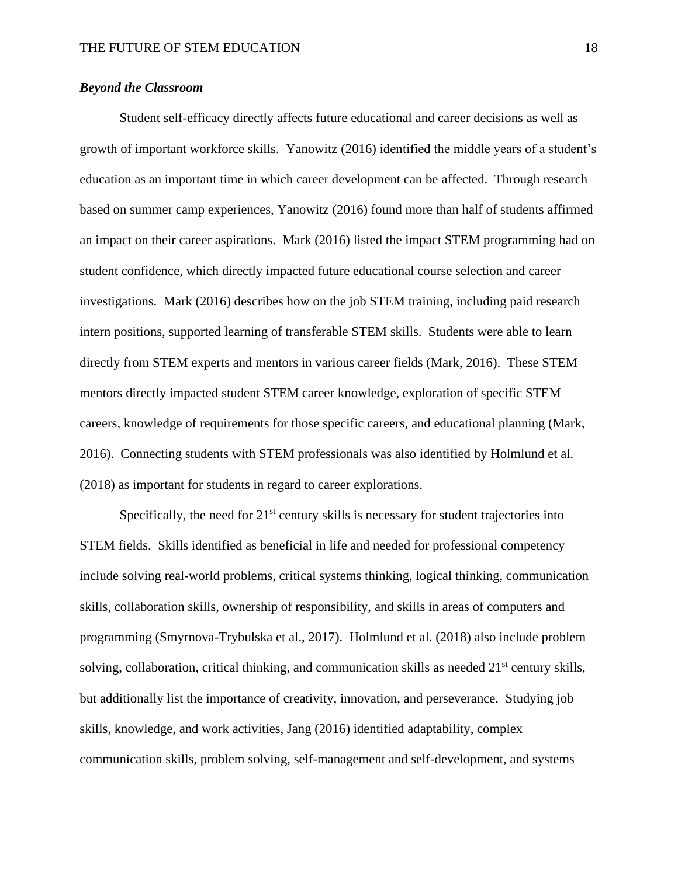# *Beyond the Classroom*

Student self-efficacy directly affects future educational and career decisions as well as growth of important workforce skills. Yanowitz (2016) identified the middle years of a student's education as an important time in which career development can be affected. Through research based on summer camp experiences, Yanowitz (2016) found more than half of students affirmed an impact on their career aspirations. Mark (2016) listed the impact STEM programming had on student confidence, which directly impacted future educational course selection and career investigations. Mark (2016) describes how on the job STEM training, including paid research intern positions, supported learning of transferable STEM skills. Students were able to learn directly from STEM experts and mentors in various career fields (Mark, 2016). These STEM mentors directly impacted student STEM career knowledge, exploration of specific STEM careers, knowledge of requirements for those specific careers, and educational planning (Mark, 2016). Connecting students with STEM professionals was also identified by Holmlund et al. (2018) as important for students in regard to career explorations.

Specifically, the need for  $21<sup>st</sup>$  century skills is necessary for student trajectories into STEM fields. Skills identified as beneficial in life and needed for professional competency include solving real-world problems, critical systems thinking, logical thinking, communication skills, collaboration skills, ownership of responsibility, and skills in areas of computers and programming (Smyrnova-Trybulska et al., 2017). Holmlund et al. (2018) also include problem solving, collaboration, critical thinking, and communication skills as needed 21<sup>st</sup> century skills, but additionally list the importance of creativity, innovation, and perseverance. Studying job skills, knowledge, and work activities, Jang (2016) identified adaptability, complex communication skills, problem solving, self-management and self-development, and systems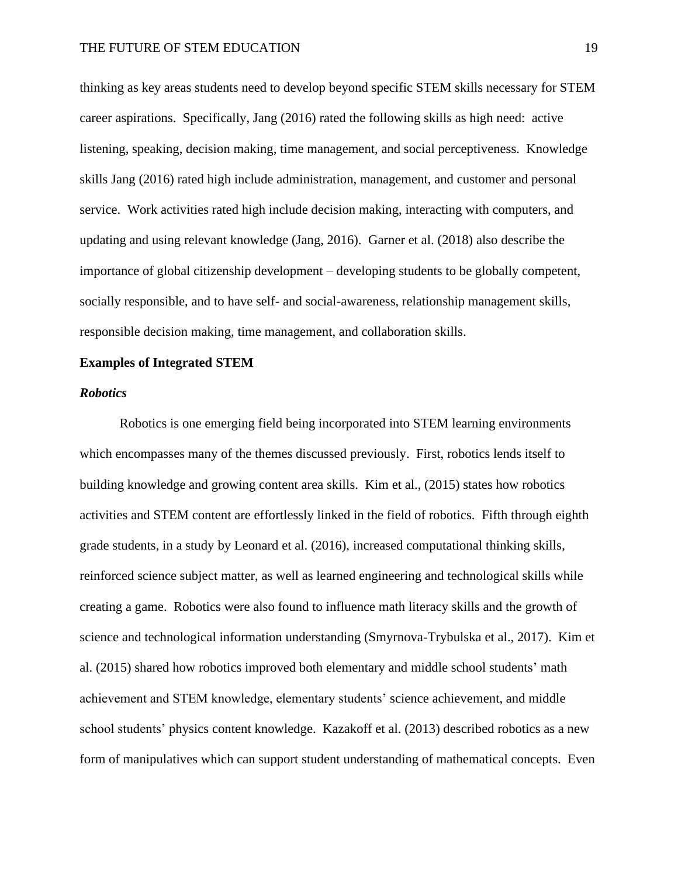thinking as key areas students need to develop beyond specific STEM skills necessary for STEM career aspirations. Specifically, Jang (2016) rated the following skills as high need: active listening, speaking, decision making, time management, and social perceptiveness. Knowledge skills Jang (2016) rated high include administration, management, and customer and personal service. Work activities rated high include decision making, interacting with computers, and updating and using relevant knowledge (Jang, 2016). Garner et al. (2018) also describe the importance of global citizenship development – developing students to be globally competent, socially responsible, and to have self- and social-awareness, relationship management skills, responsible decision making, time management, and collaboration skills.

#### **Examples of Integrated STEM**

#### *Robotics*

Robotics is one emerging field being incorporated into STEM learning environments which encompasses many of the themes discussed previously. First, robotics lends itself to building knowledge and growing content area skills. Kim et al., (2015) states how robotics activities and STEM content are effortlessly linked in the field of robotics. Fifth through eighth grade students, in a study by Leonard et al. (2016), increased computational thinking skills, reinforced science subject matter, as well as learned engineering and technological skills while creating a game. Robotics were also found to influence math literacy skills and the growth of science and technological information understanding (Smyrnova-Trybulska et al., 2017). Kim et al. (2015) shared how robotics improved both elementary and middle school students' math achievement and STEM knowledge, elementary students' science achievement, and middle school students' physics content knowledge. Kazakoff et al. (2013) described robotics as a new form of manipulatives which can support student understanding of mathematical concepts. Even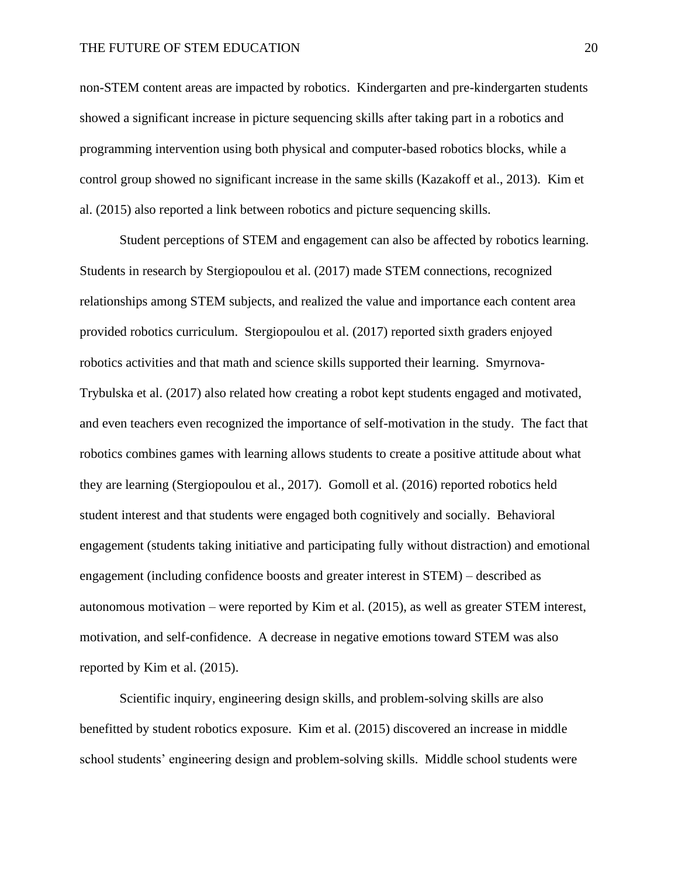#### THE FUTURE OF STEM EDUCATION 20

non-STEM content areas are impacted by robotics. Kindergarten and pre-kindergarten students showed a significant increase in picture sequencing skills after taking part in a robotics and programming intervention using both physical and computer-based robotics blocks, while a control group showed no significant increase in the same skills (Kazakoff et al., 2013). Kim et al. (2015) also reported a link between robotics and picture sequencing skills.

Student perceptions of STEM and engagement can also be affected by robotics learning. Students in research by Stergiopoulou et al. (2017) made STEM connections, recognized relationships among STEM subjects, and realized the value and importance each content area provided robotics curriculum. Stergiopoulou et al. (2017) reported sixth graders enjoyed robotics activities and that math and science skills supported their learning. Smyrnova-Trybulska et al. (2017) also related how creating a robot kept students engaged and motivated, and even teachers even recognized the importance of self-motivation in the study. The fact that robotics combines games with learning allows students to create a positive attitude about what they are learning (Stergiopoulou et al., 2017). Gomoll et al. (2016) reported robotics held student interest and that students were engaged both cognitively and socially. Behavioral engagement (students taking initiative and participating fully without distraction) and emotional engagement (including confidence boosts and greater interest in STEM) – described as autonomous motivation – were reported by Kim et al. (2015), as well as greater STEM interest, motivation, and self-confidence. A decrease in negative emotions toward STEM was also reported by Kim et al. (2015).

Scientific inquiry, engineering design skills, and problem-solving skills are also benefitted by student robotics exposure. Kim et al. (2015) discovered an increase in middle school students' engineering design and problem-solving skills. Middle school students were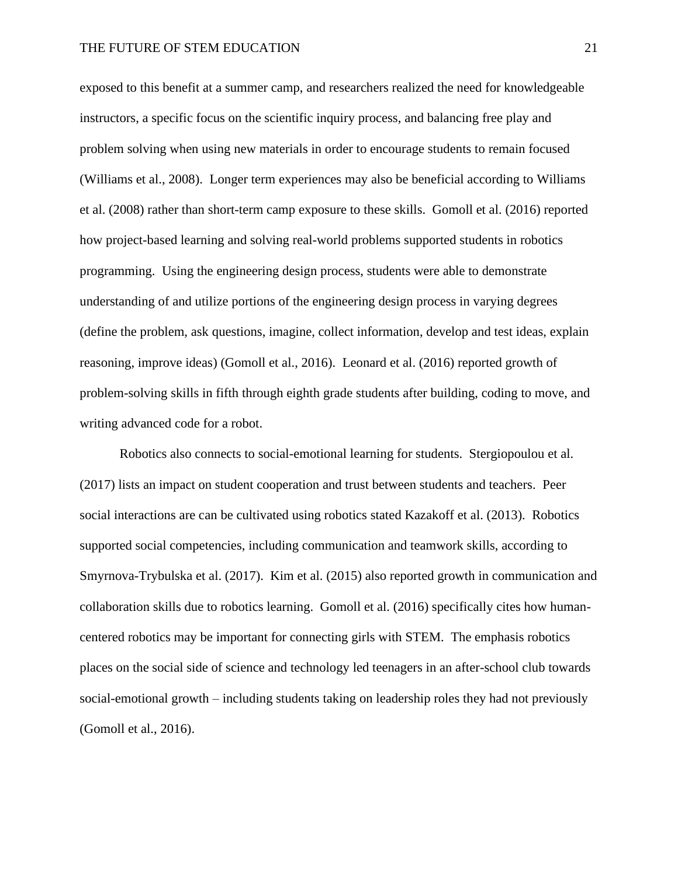exposed to this benefit at a summer camp, and researchers realized the need for knowledgeable instructors, a specific focus on the scientific inquiry process, and balancing free play and problem solving when using new materials in order to encourage students to remain focused (Williams et al., 2008). Longer term experiences may also be beneficial according to Williams et al. (2008) rather than short-term camp exposure to these skills. Gomoll et al. (2016) reported how project-based learning and solving real-world problems supported students in robotics programming. Using the engineering design process, students were able to demonstrate understanding of and utilize portions of the engineering design process in varying degrees (define the problem, ask questions, imagine, collect information, develop and test ideas, explain reasoning, improve ideas) (Gomoll et al., 2016). Leonard et al. (2016) reported growth of problem-solving skills in fifth through eighth grade students after building, coding to move, and writing advanced code for a robot.

Robotics also connects to social-emotional learning for students. Stergiopoulou et al. (2017) lists an impact on student cooperation and trust between students and teachers. Peer social interactions are can be cultivated using robotics stated Kazakoff et al. (2013). Robotics supported social competencies, including communication and teamwork skills, according to Smyrnova-Trybulska et al. (2017). Kim et al. (2015) also reported growth in communication and collaboration skills due to robotics learning. Gomoll et al. (2016) specifically cites how humancentered robotics may be important for connecting girls with STEM. The emphasis robotics places on the social side of science and technology led teenagers in an after-school club towards social-emotional growth – including students taking on leadership roles they had not previously (Gomoll et al., 2016).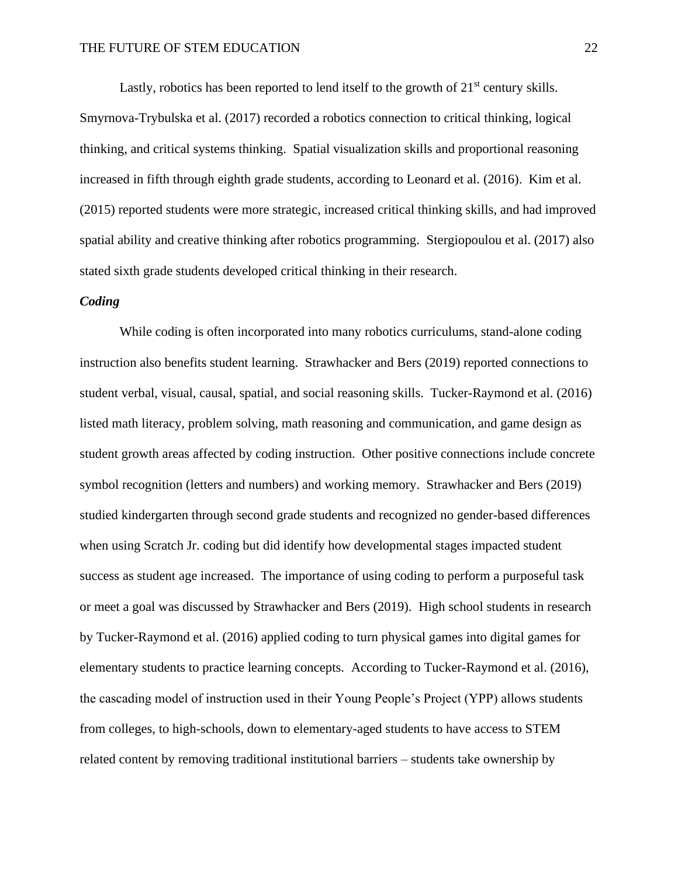Lastly, robotics has been reported to lend itself to the growth of  $21<sup>st</sup>$  century skills.

Smyrnova-Trybulska et al. (2017) recorded a robotics connection to critical thinking, logical thinking, and critical systems thinking. Spatial visualization skills and proportional reasoning increased in fifth through eighth grade students, according to Leonard et al. (2016). Kim et al. (2015) reported students were more strategic, increased critical thinking skills, and had improved spatial ability and creative thinking after robotics programming. Stergiopoulou et al. (2017) also stated sixth grade students developed critical thinking in their research.

# *Coding*

While coding is often incorporated into many robotics curriculums, stand-alone coding instruction also benefits student learning. Strawhacker and Bers (2019) reported connections to student verbal, visual, causal, spatial, and social reasoning skills. Tucker-Raymond et al. (2016) listed math literacy, problem solving, math reasoning and communication, and game design as student growth areas affected by coding instruction. Other positive connections include concrete symbol recognition (letters and numbers) and working memory. Strawhacker and Bers (2019) studied kindergarten through second grade students and recognized no gender-based differences when using Scratch Jr. coding but did identify how developmental stages impacted student success as student age increased. The importance of using coding to perform a purposeful task or meet a goal was discussed by Strawhacker and Bers (2019). High school students in research by Tucker-Raymond et al. (2016) applied coding to turn physical games into digital games for elementary students to practice learning concepts. According to Tucker-Raymond et al. (2016), the cascading model of instruction used in their Young People's Project (YPP) allows students from colleges, to high-schools, down to elementary-aged students to have access to STEM related content by removing traditional institutional barriers – students take ownership by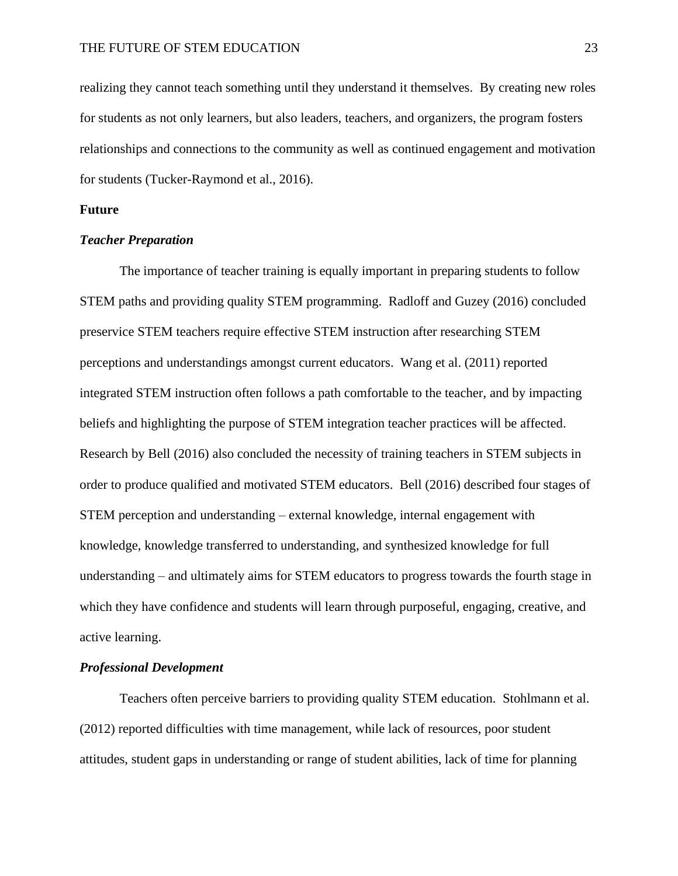realizing they cannot teach something until they understand it themselves. By creating new roles for students as not only learners, but also leaders, teachers, and organizers, the program fosters relationships and connections to the community as well as continued engagement and motivation for students (Tucker-Raymond et al., 2016).

## **Future**

#### *Teacher Preparation*

The importance of teacher training is equally important in preparing students to follow STEM paths and providing quality STEM programming. Radloff and Guzey (2016) concluded preservice STEM teachers require effective STEM instruction after researching STEM perceptions and understandings amongst current educators. Wang et al. (2011) reported integrated STEM instruction often follows a path comfortable to the teacher, and by impacting beliefs and highlighting the purpose of STEM integration teacher practices will be affected. Research by Bell (2016) also concluded the necessity of training teachers in STEM subjects in order to produce qualified and motivated STEM educators. Bell (2016) described four stages of STEM perception and understanding – external knowledge, internal engagement with knowledge, knowledge transferred to understanding, and synthesized knowledge for full understanding – and ultimately aims for STEM educators to progress towards the fourth stage in which they have confidence and students will learn through purposeful, engaging, creative, and active learning.

# *Professional Development*

Teachers often perceive barriers to providing quality STEM education. Stohlmann et al. (2012) reported difficulties with time management, while lack of resources, poor student attitudes, student gaps in understanding or range of student abilities, lack of time for planning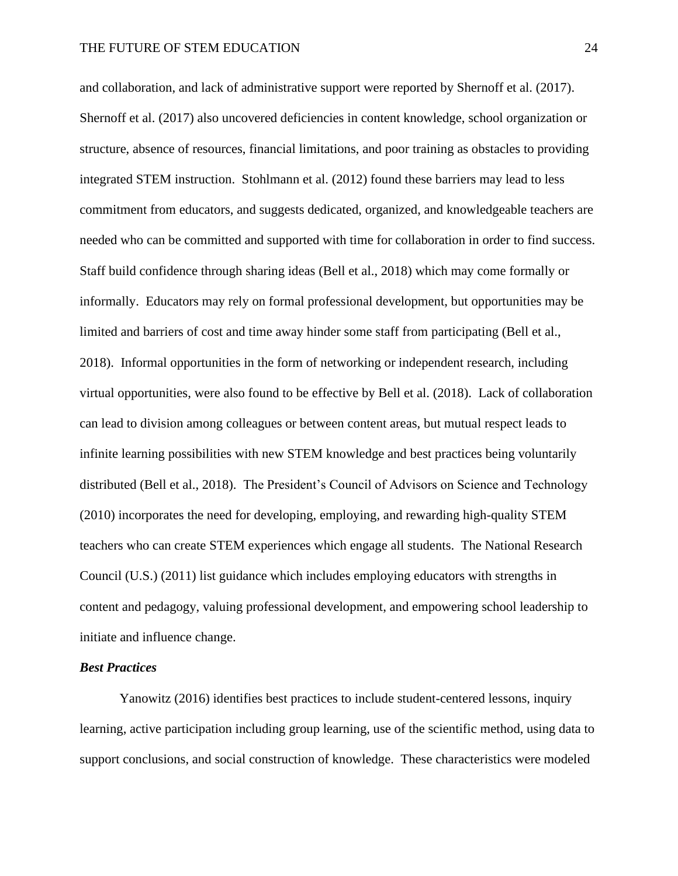and collaboration, and lack of administrative support were reported by Shernoff et al. (2017). Shernoff et al. (2017) also uncovered deficiencies in content knowledge, school organization or structure, absence of resources, financial limitations, and poor training as obstacles to providing integrated STEM instruction. Stohlmann et al. (2012) found these barriers may lead to less commitment from educators, and suggests dedicated, organized, and knowledgeable teachers are needed who can be committed and supported with time for collaboration in order to find success. Staff build confidence through sharing ideas (Bell et al., 2018) which may come formally or informally. Educators may rely on formal professional development, but opportunities may be limited and barriers of cost and time away hinder some staff from participating (Bell et al., 2018). Informal opportunities in the form of networking or independent research, including virtual opportunities, were also found to be effective by Bell et al. (2018). Lack of collaboration can lead to division among colleagues or between content areas, but mutual respect leads to infinite learning possibilities with new STEM knowledge and best practices being voluntarily distributed (Bell et al., 2018). The President's Council of Advisors on Science and Technology (2010) incorporates the need for developing, employing, and rewarding high-quality STEM teachers who can create STEM experiences which engage all students. The National Research Council (U.S.) (2011) list guidance which includes employing educators with strengths in content and pedagogy, valuing professional development, and empowering school leadership to initiate and influence change.

### *Best Practices*

Yanowitz (2016) identifies best practices to include student-centered lessons, inquiry learning, active participation including group learning, use of the scientific method, using data to support conclusions, and social construction of knowledge. These characteristics were modeled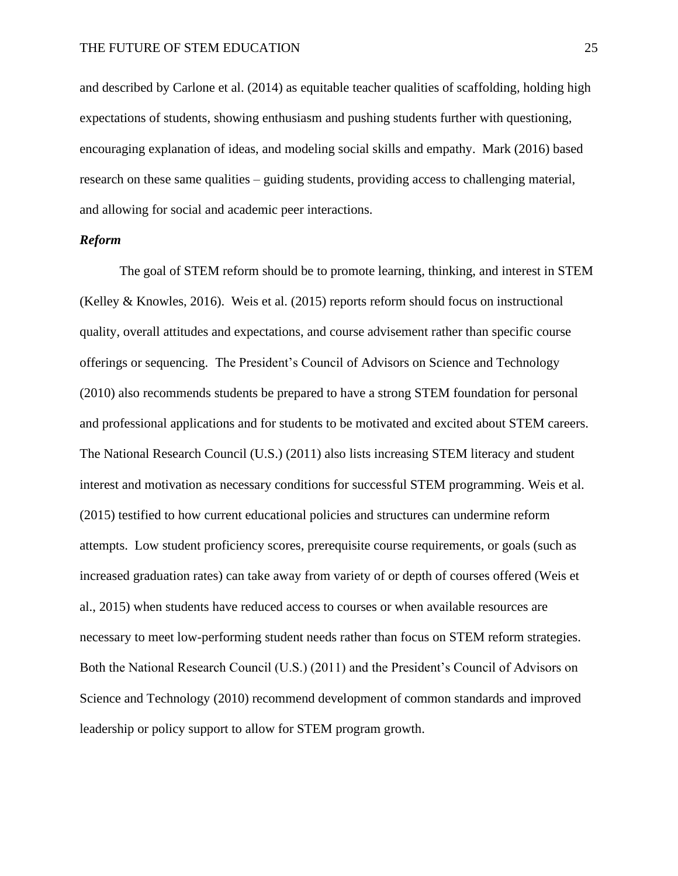and described by Carlone et al. (2014) as equitable teacher qualities of scaffolding, holding high expectations of students, showing enthusiasm and pushing students further with questioning, encouraging explanation of ideas, and modeling social skills and empathy. Mark (2016) based research on these same qualities – guiding students, providing access to challenging material, and allowing for social and academic peer interactions.

#### *Reform*

The goal of STEM reform should be to promote learning, thinking, and interest in STEM (Kelley & Knowles, 2016). Weis et al. (2015) reports reform should focus on instructional quality, overall attitudes and expectations, and course advisement rather than specific course offerings or sequencing. The President's Council of Advisors on Science and Technology (2010) also recommends students be prepared to have a strong STEM foundation for personal and professional applications and for students to be motivated and excited about STEM careers. The National Research Council (U.S.) (2011) also lists increasing STEM literacy and student interest and motivation as necessary conditions for successful STEM programming. Weis et al. (2015) testified to how current educational policies and structures can undermine reform attempts. Low student proficiency scores, prerequisite course requirements, or goals (such as increased graduation rates) can take away from variety of or depth of courses offered (Weis et al., 2015) when students have reduced access to courses or when available resources are necessary to meet low-performing student needs rather than focus on STEM reform strategies. Both the National Research Council (U.S.) (2011) and the President's Council of Advisors on Science and Technology (2010) recommend development of common standards and improved leadership or policy support to allow for STEM program growth.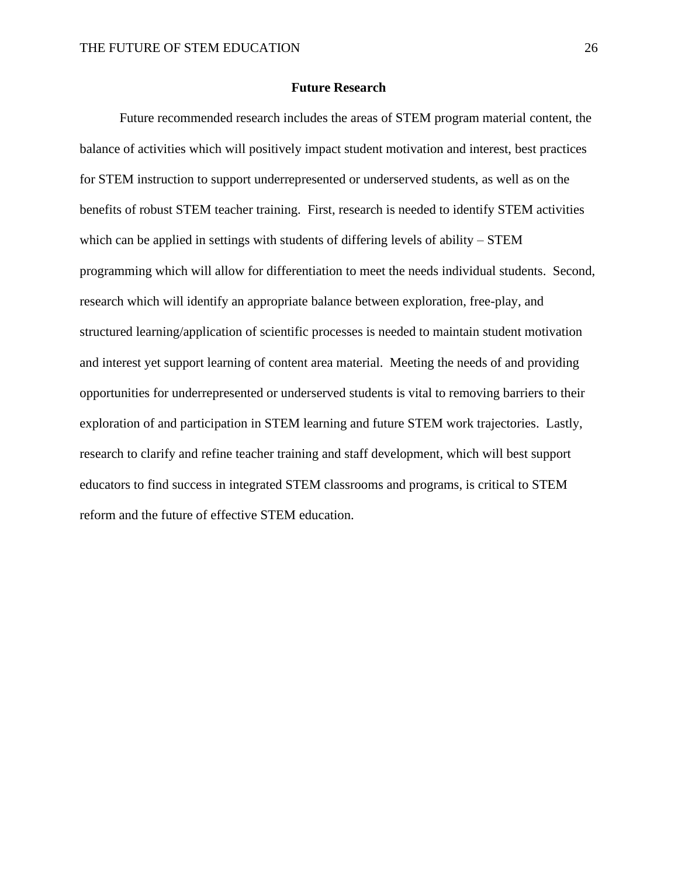#### **Future Research**

Future recommended research includes the areas of STEM program material content, the balance of activities which will positively impact student motivation and interest, best practices for STEM instruction to support underrepresented or underserved students, as well as on the benefits of robust STEM teacher training. First, research is needed to identify STEM activities which can be applied in settings with students of differing levels of ability – STEM programming which will allow for differentiation to meet the needs individual students. Second, research which will identify an appropriate balance between exploration, free-play, and structured learning/application of scientific processes is needed to maintain student motivation and interest yet support learning of content area material. Meeting the needs of and providing opportunities for underrepresented or underserved students is vital to removing barriers to their exploration of and participation in STEM learning and future STEM work trajectories. Lastly, research to clarify and refine teacher training and staff development, which will best support educators to find success in integrated STEM classrooms and programs, is critical to STEM reform and the future of effective STEM education.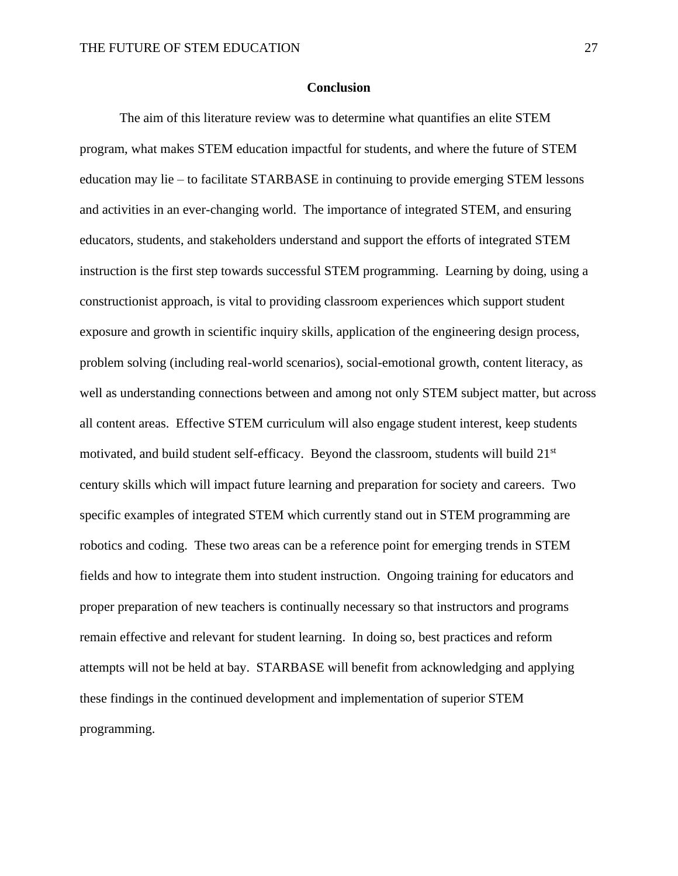#### **Conclusion**

The aim of this literature review was to determine what quantifies an elite STEM program, what makes STEM education impactful for students, and where the future of STEM education may lie – to facilitate STARBASE in continuing to provide emerging STEM lessons and activities in an ever-changing world. The importance of integrated STEM, and ensuring educators, students, and stakeholders understand and support the efforts of integrated STEM instruction is the first step towards successful STEM programming. Learning by doing, using a constructionist approach, is vital to providing classroom experiences which support student exposure and growth in scientific inquiry skills, application of the engineering design process, problem solving (including real-world scenarios), social-emotional growth, content literacy, as well as understanding connections between and among not only STEM subject matter, but across all content areas. Effective STEM curriculum will also engage student interest, keep students motivated, and build student self-efficacy. Beyond the classroom, students will build 21st century skills which will impact future learning and preparation for society and careers. Two specific examples of integrated STEM which currently stand out in STEM programming are robotics and coding. These two areas can be a reference point for emerging trends in STEM fields and how to integrate them into student instruction. Ongoing training for educators and proper preparation of new teachers is continually necessary so that instructors and programs remain effective and relevant for student learning. In doing so, best practices and reform attempts will not be held at bay. STARBASE will benefit from acknowledging and applying these findings in the continued development and implementation of superior STEM programming.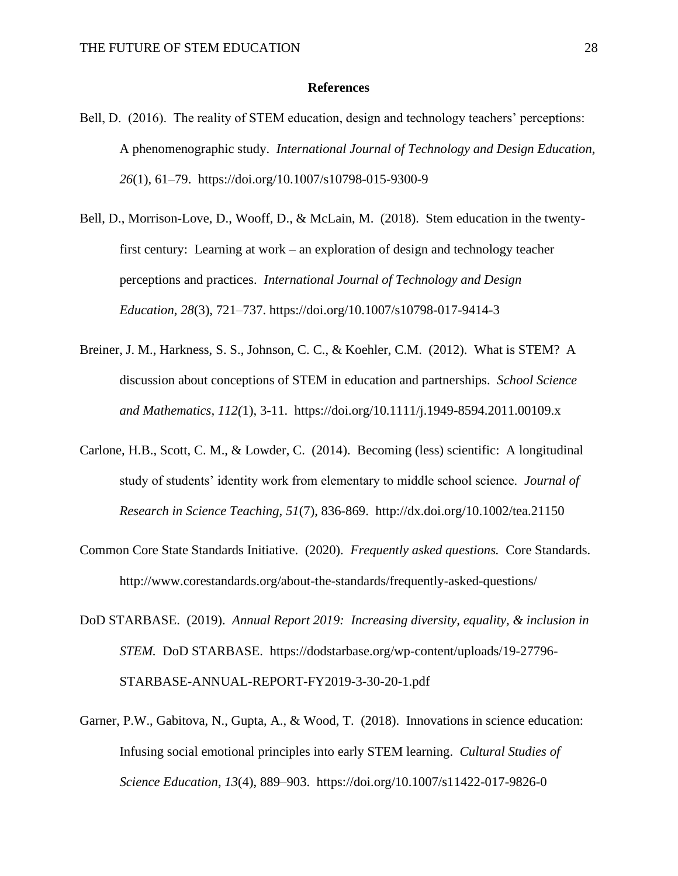#### **References**

- Bell, D. (2016). The reality of STEM education, design and technology teachers' perceptions: A phenomenographic study. *International Journal of Technology and Design Education, 26*(1), 61–79. https://doi.org/10.1007/s10798-015-9300-9
- Bell, D., Morrison-Love, D., Wooff, D., & McLain, M. (2018). Stem education in the twentyfirst century: Learning at work – an exploration of design and technology teacher perceptions and practices. *International Journal of Technology and Design Education*, *28*(3), 721–737. https://doi.org/10.1007/s10798-017-9414-3
- Breiner, J. M., Harkness, S. S., Johnson, C. C., & Koehler, C.M. (2012). What is STEM? A discussion about conceptions of STEM in education and partnerships. *School Science and Mathematics, 112(*1), 3-11. https://doi.org/10.1111/j.1949-8594.2011.00109.x
- Carlone, H.B., Scott, C. M., & Lowder, C. (2014). Becoming (less) scientific: A longitudinal study of students' identity work from elementary to middle school science. *Journal of Research in Science Teaching, 51*(7), 836-869. http://dx.doi.org/10.1002/tea.21150
- Common Core State Standards Initiative. (2020). *Frequently asked questions.* Core Standards. http://www.corestandards.org/about-the-standards/frequently-asked-questions/
- DoD STARBASE. (2019). *Annual Report 2019: Increasing diversity, equality, & inclusion in STEM.* DoD STARBASE. https://dodstarbase.org/wp-content/uploads/19-27796- STARBASE-ANNUAL-REPORT-FY2019-3-30-20-1.pdf
- Garner, P.W., Gabitova, N., Gupta, A., & Wood, T. (2018). Innovations in science education: Infusing social emotional principles into early STEM learning. *Cultural Studies of Science Education*, *13*(4), 889–903. https://doi.org/10.1007/s11422-017-9826-0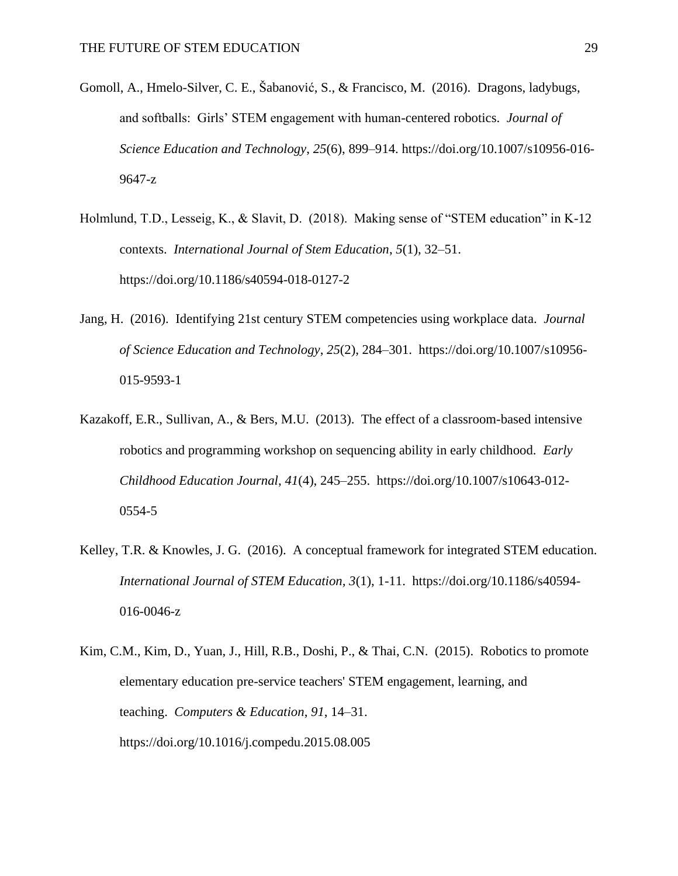- Gomoll, A., Hmelo-Silver, C. E., Šabanović, S., & Francisco, M. (2016). Dragons, ladybugs, and softballs: Girls' STEM engagement with human-centered robotics. *Journal of Science Education and Technology*, *25*(6), 899–914. https://doi.org/10.1007/s10956-016- 9647-z
- Holmlund, T.D., Lesseig, K., & Slavit, D. (2018). Making sense of "STEM education" in K-12 contexts. *International Journal of Stem Education*, *5*(1), 32–51. https://doi.org/10.1186/s40594-018-0127-2
- Jang, H. (2016). Identifying 21st century STEM competencies using workplace data. *Journal of Science Education and Technology*, *25*(2), 284–301. https://doi.org/10.1007/s10956- 015-9593-1
- Kazakoff, E.R., Sullivan, A., & Bers, M.U. (2013). The effect of a classroom-based intensive robotics and programming workshop on sequencing ability in early childhood. *Early Childhood Education Journal*, *41*(4), 245–255. https://doi.org/10.1007/s10643-012- 0554-5
- Kelley, T.R. & Knowles, J. G. (2016). A conceptual framework for integrated STEM education. *International Journal of STEM Education, 3*(1), 1-11. https://doi.org/10.1186/s40594- 016-0046-z
- Kim, C.M., Kim, D., Yuan, J., Hill, R.B., Doshi, P., & Thai, C.N. (2015). Robotics to promote elementary education pre-service teachers' STEM engagement, learning, and teaching. *Computers & Education*, *91*, 14–31. https://doi.org/10.1016/j.compedu.2015.08.005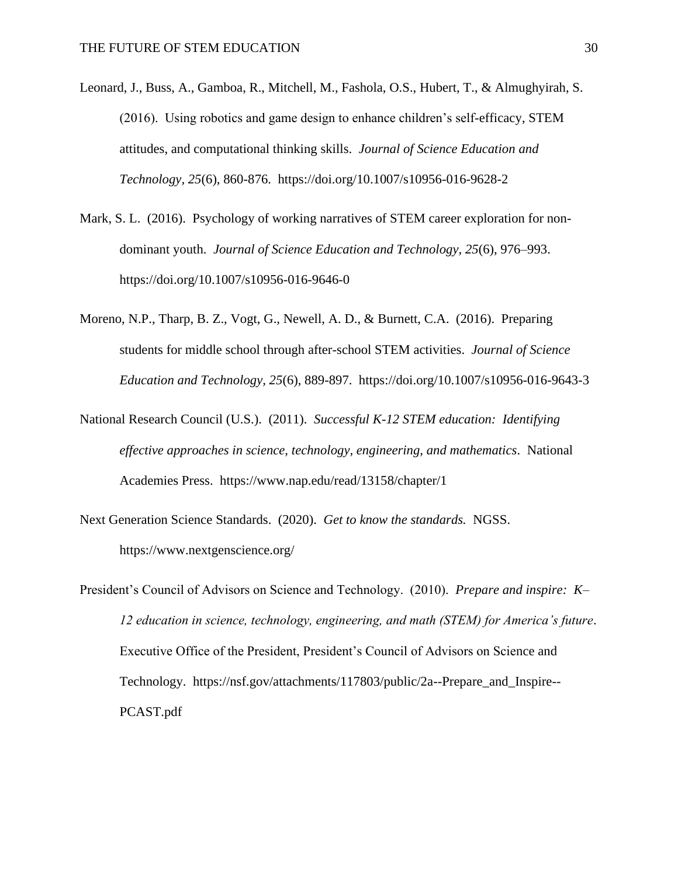- Leonard, J., Buss, A., Gamboa, R., Mitchell, M., Fashola, O.S., Hubert, T., & Almughyirah, S. (2016). Using robotics and game design to enhance children's self-efficacy, STEM attitudes, and computational thinking skills. *Journal of Science Education and Technology, 25*(6), 860-876. https://doi.org/10.1007/s10956-016-9628-2
- Mark, S. L. (2016). Psychology of working narratives of STEM career exploration for nondominant youth. *Journal of Science Education and Technology*, *25*(6), 976–993. https://doi.org/10.1007/s10956-016-9646-0
- Moreno, N.P., Tharp, B. Z., Vogt, G., Newell, A. D., & Burnett, C.A. (2016). Preparing students for middle school through after-school STEM activities. *Journal of Science Education and Technology, 25*(6), 889-897. https://doi.org/10.1007/s10956-016-9643-3
- National Research Council (U.S.). (2011). *Successful K-12 STEM education: Identifying effective approaches in science, technology, engineering, and mathematics*. National Academies Press. https://www.nap.edu/read/13158/chapter/1
- Next Generation Science Standards. (2020). *Get to know the standards.* NGSS. https://www.nextgenscience.org/
- President's Council of Advisors on Science and Technology. (2010). *Prepare and inspire: K– 12 education in science, technology, engineering, and math (STEM) for America's future*. Executive Office of the President, President's Council of Advisors on Science and Technology. https://nsf.gov/attachments/117803/public/2a--Prepare\_and\_Inspire-- PCAST.pdf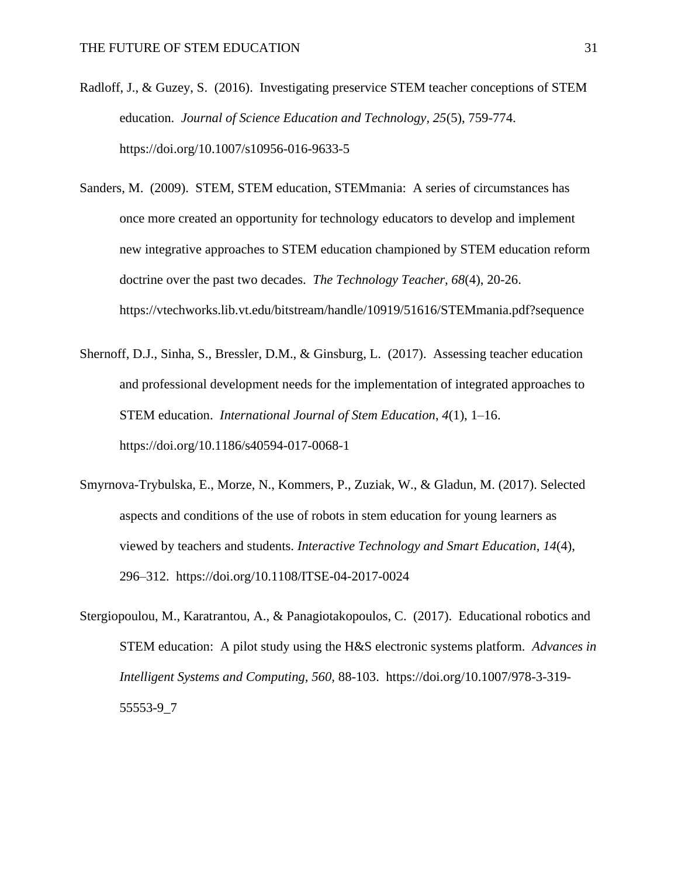- Radloff, J., & Guzey, S. (2016). Investigating preservice STEM teacher conceptions of STEM education. *Journal of Science Education and Technology, 25*(5), 759-774. https://doi.org/10.1007/s10956-016-9633-5
- Sanders, M. (2009). STEM, STEM education, STEMmania: A series of circumstances has once more created an opportunity for technology educators to develop and implement new integrative approaches to STEM education championed by STEM education reform doctrine over the past two decades. *The Technology Teacher, 68*(4), 20-26. https://vtechworks.lib.vt.edu/bitstream/handle/10919/51616/STEMmania.pdf?sequence
- Shernoff, D.J., Sinha, S., Bressler, D.M., & Ginsburg, L. (2017). Assessing teacher education and professional development needs for the implementation of integrated approaches to STEM education. *International Journal of Stem Education*, *4*(1), 1–16. https://doi.org/10.1186/s40594-017-0068-1
- Smyrnova-Trybulska, E., Morze, N., Kommers, P., Zuziak, W., & Gladun, M. (2017). Selected aspects and conditions of the use of robots in stem education for young learners as viewed by teachers and students. *Interactive Technology and Smart Education*, *14*(4), 296–312. https://doi.org/10.1108/ITSE-04-2017-0024
- Stergiopoulou, M., Karatrantou, A., & Panagiotakopoulos, C. (2017). Educational robotics and STEM education: A pilot study using the H&S electronic systems platform. *Advances in Intelligent Systems and Computing, 560,* 88-103. https://doi.org/10.1007/978-3-319- 55553-9\_7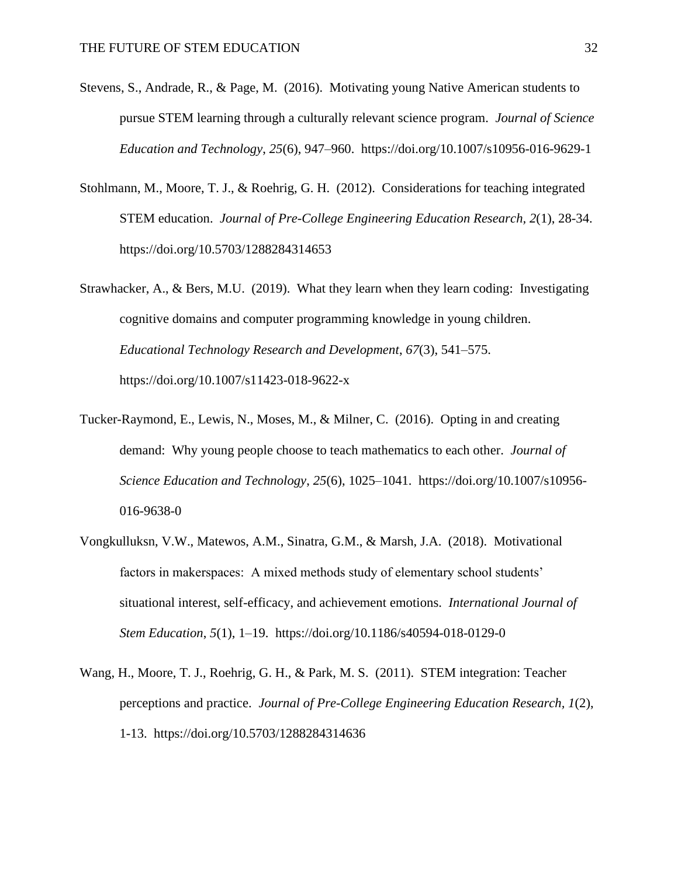- Stevens, S., Andrade, R., & Page, M. (2016). Motivating young Native American students to pursue STEM learning through a culturally relevant science program. *Journal of Science Education and Technology*, *25*(6), 947–960. https://doi.org/10.1007/s10956-016-9629-1
- Stohlmann, M., Moore, T. J., & Roehrig, G. H. (2012). Considerations for teaching integrated STEM education. *Journal of Pre-College Engineering Education Research, 2*(1), 28-34. https://doi.org/10.5703/1288284314653
- Strawhacker, A., & Bers, M.U. (2019). What they learn when they learn coding: Investigating cognitive domains and computer programming knowledge in young children. *Educational Technology Research and Development*, *67*(3), 541–575. https://doi.org/10.1007/s11423-018-9622-x
- Tucker-Raymond, E., Lewis, N., Moses, M., & Milner, C. (2016). Opting in and creating demand: Why young people choose to teach mathematics to each other. *Journal of Science Education and Technology*, *25*(6), 1025–1041. https://doi.org/10.1007/s10956- 016-9638-0
- Vongkulluksn, V.W., Matewos, A.M., Sinatra, G.M., & Marsh, J.A. (2018). Motivational factors in makerspaces: A mixed methods study of elementary school students' situational interest, self-efficacy, and achievement emotions. *International Journal of Stem Education*, *5*(1), 1–19. https://doi.org/10.1186/s40594-018-0129-0
- Wang, H., Moore, T. J., Roehrig, G. H., & Park, M. S. (2011). STEM integration: Teacher perceptions and practice. *Journal of Pre-College Engineering Education Research, 1*(2), 1-13. https://doi.org/10.5703/1288284314636